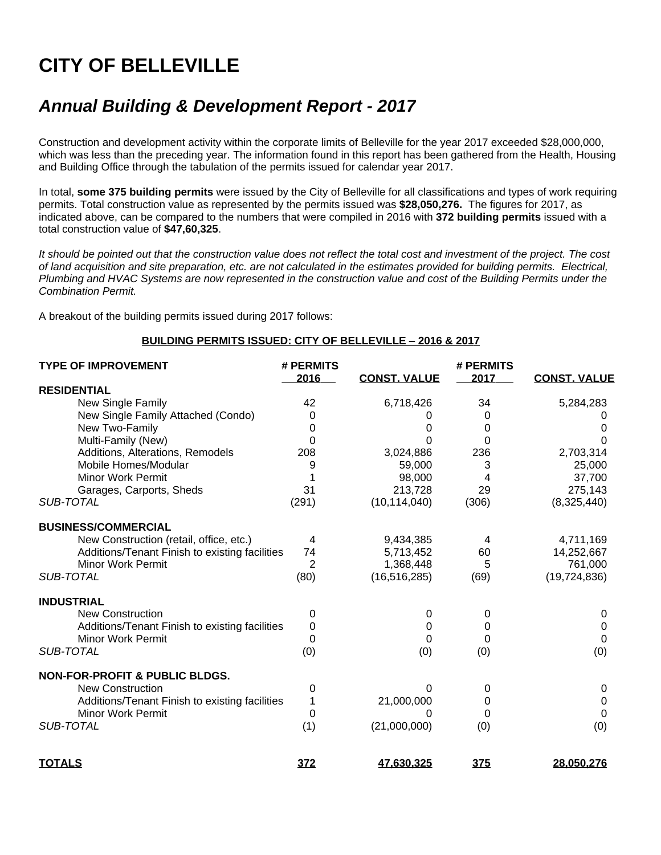# **CITY OF BELLEVILLE**

# *Annual Building & Development Report - 2017*

Construction and development activity within the corporate limits of Belleville for the year 2017 exceeded \$28,000,000, which was less than the preceding year. The information found in this report has been gathered from the Health, Housing and Building Office through the tabulation of the permits issued for calendar year 2017.

In total, **some 375 building permits** were issued by the City of Belleville for all classifications and types of work requiring permits. Total construction value as represented by the permits issued was **\$28,050,276.** The figures for 2017, as indicated above, can be compared to the numbers that were compiled in 2016 with **372 building permits** issued with a total construction value of **\$47,60,325**.

*It should be pointed out that the construction value does not reflect the total cost and investment of the project. The cost of land acquisition and site preparation, etc. are not calculated in the estimates provided for building permits. Electrical, Plumbing and HVAC Systems are now represented in the construction value and cost of the Building Permits under the Combination Permit.*

A breakout of the building permits issued during 2017 follows:

#### **BUILDING PERMITS ISSUED: CITY OF BELLEVILLE – 2016 & 2017**

| <b>TYPE OF IMPROVEMENT</b>                     | # PERMITS<br>2016 | <b>CONST. VALUE</b> | # PERMITS<br>2017 | <b>CONST. VALUE</b> |
|------------------------------------------------|-------------------|---------------------|-------------------|---------------------|
| <b>RESIDENTIAL</b>                             |                   |                     |                   |                     |
| <b>New Single Family</b>                       | 42                | 6,718,426           | 34                | 5,284,283           |
| New Single Family Attached (Condo)             | 0                 |                     | 0                 |                     |
| New Two-Family                                 | 0                 | 0                   | 0                 |                     |
| Multi-Family (New)                             | 0                 | O                   | $\Omega$          | 0                   |
| Additions, Alterations, Remodels               | 208               | 3,024,886           | 236               | 2,703,314           |
| Mobile Homes/Modular                           | 9                 | 59,000              | 3                 | 25,000              |
| <b>Minor Work Permit</b>                       |                   | 98,000              |                   | 37,700              |
| Garages, Carports, Sheds                       | 31                | 213,728             | 29                | 275,143             |
| SUB-TOTAL                                      | (291)             | (10, 114, 040)      | (306)             | (8,325,440)         |
| <b>BUSINESS/COMMERCIAL</b>                     |                   |                     |                   |                     |
| New Construction (retail, office, etc.)        | 4                 | 9,434,385           | 4                 | 4,711,169           |
| Additions/Tenant Finish to existing facilities | 74                | 5,713,452           | 60                | 14,252,667          |
| <b>Minor Work Permit</b>                       | 2                 | 1,368,448           | 5                 | 761,000             |
| SUB-TOTAL                                      | (80)              | (16, 516, 285)      | (69)              | (19, 724, 836)      |
| <b>INDUSTRIAL</b>                              |                   |                     |                   |                     |
| <b>New Construction</b>                        | 0                 | 0                   | 0                 | 0                   |
| Additions/Tenant Finish to existing facilities | 0                 | 0                   | 0                 | 0                   |
| <b>Minor Work Permit</b>                       | 0                 | 0                   | 0                 | 0                   |
| SUB-TOTAL                                      | (0)               | (0)                 | (0)               | (0)                 |
| <b>NON-FOR-PROFIT &amp; PUBLIC BLDGS.</b>      |                   |                     |                   |                     |
| New Construction                               | 0                 | 0                   | 0                 | 0                   |
| Additions/Tenant Finish to existing facilities |                   | 21,000,000          | 0                 | 0                   |
| Minor Work Permit                              | 0                 | 0                   | 0                 | $\Omega$            |
| SUB-TOTAL                                      | (1)               | (21,000,000)        | (0)               | (0)                 |
| <b>TOTALS</b>                                  | 372               | 47,630,325          | 375               | 28,050,276          |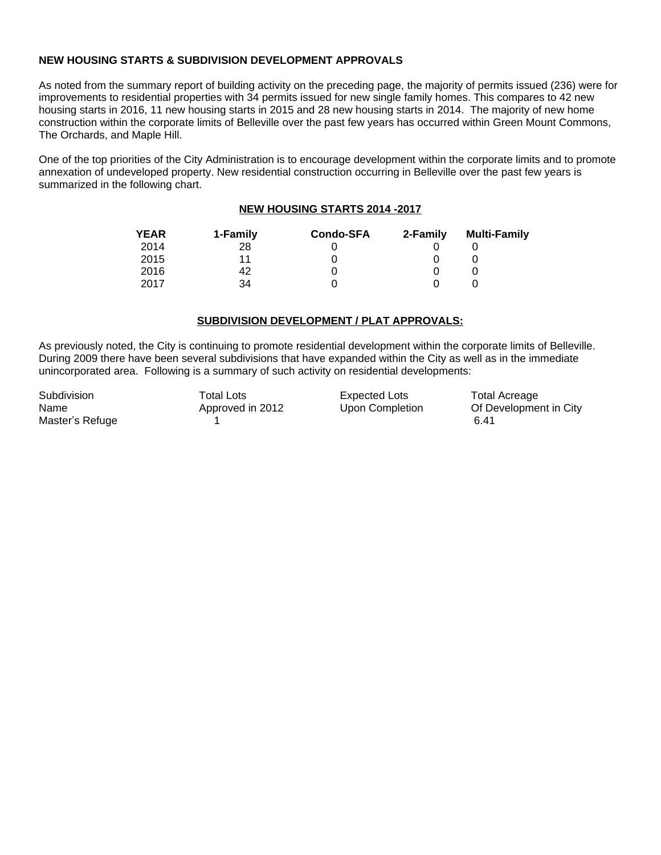## **NEW HOUSING STARTS & SUBDIVISION DEVELOPMENT APPROVALS**

As noted from the summary report of building activity on the preceding page, the majority of permits issued (236) were for improvements to residential properties with 34 permits issued for new single family homes. This compares to 42 new housing starts in 2016, 11 new housing starts in 2015 and 28 new housing starts in 2014. The majority of new home construction within the corporate limits of Belleville over the past few years has occurred within Green Mount Commons, The Orchards, and Maple Hill.

One of the top priorities of the City Administration is to encourage development within the corporate limits and to promote annexation of undeveloped property. New residential construction occurring in Belleville over the past few years is summarized in the following chart.

## **NEW HOUSING STARTS 2014 -2017**

| <b>YEAR</b> | 1-Family | <b>Condo-SFA</b> | 2-Family | <b>Multi-Family</b> |
|-------------|----------|------------------|----------|---------------------|
| 2014        | 28       |                  |          |                     |
| 2015        | 11       |                  |          |                     |
| 2016        | 42       |                  |          |                     |
| 2017        | 34       |                  |          |                     |

## **SUBDIVISION DEVELOPMENT / PLAT APPROVALS:**

As previously noted, the City is continuing to promote residential development within the corporate limits of Belleville. During 2009 there have been several subdivisions that have expanded within the City as well as in the immediate unincorporated area. Following is a summary of such activity on residential developments:

Master's Refuge 1 6.41

Subdivision **Total Lots Expected Lots** Total Acreage

Name **Approved in 2012** Upon Completion Of Development in City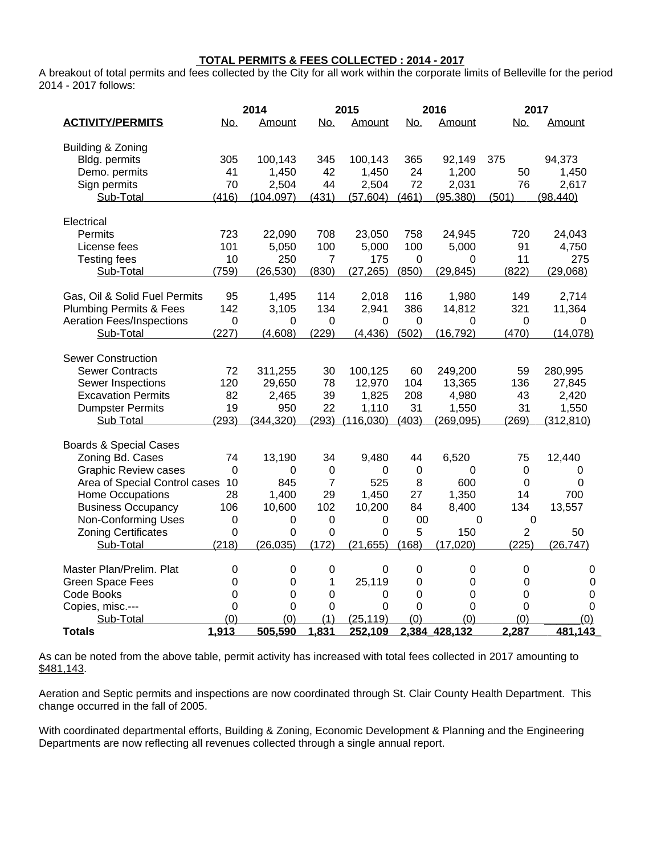#### **TOTAL PERMITS & FEES COLLECTED : 2014 - 2017**

A breakout of total permits and fees collected by the City for all work within the corporate limits of Belleville for the period 2014 - 2017 follows:

|                                    |                | 2014             |                | 2015        |                | 2016            | 2017             |             |
|------------------------------------|----------------|------------------|----------------|-------------|----------------|-----------------|------------------|-------------|
| <b>ACTIVITY/PERMITS</b>            | <u>No.</u>     | Amount           | <u>No.</u>     | Amount      | <u>No.</u>     | Amount          | <u>No.</u>       | Amount      |
| Building & Zoning                  |                |                  |                |             |                |                 |                  |             |
| Bldg. permits                      | 305            | 100,143          | 345            | 100,143     | 365            | 92,149          | 375              | 94,373      |
| Demo. permits                      | 41             | 1,450            | 42             | 1,450       | 24             | 1,200           | 50               | 1,450       |
| Sign permits                       | 70             | 2,504            | 44             | 2,504       | 72             | 2,031           | 76               | 2,617       |
| Sub-Total                          | (416)          | <u>(104,097)</u> | (431)          | (57, 604)   | (461)          | <u>(95,380)</u> | (501)            | (98, 440)   |
| Electrical                         |                |                  |                |             |                |                 |                  |             |
| Permits                            | 723            | 22,090           | 708            | 23,050      | 758            | 24,945          | 720              | 24,043      |
| License fees                       | 101            | 5,050            | 100            | 5,000       | 100            | 5,000           | 91               | 4,750       |
| <b>Testing fees</b>                | 10             | 250              | 7              | 175         | $\mathbf 0$    | 0               | 11               | 275         |
| Sub-Total                          | (759)          | (26, 530)        | (830)          | (27, 265)   | (850)          | (29, 845)       | (822)            | (29,068)    |
| Gas, Oil & Solid Fuel Permits      | 95             | 1,495            | 114            | 2,018       | 116            | 1,980           | 149              | 2,714       |
| <b>Plumbing Permits &amp; Fees</b> | 142            | 3,105            | 134            | 2,941       | 386            | 14,812          | 321              | 11,364      |
| <b>Aeration Fees/Inspections</b>   | $\mathbf 0$    | 0                | 0              | $\mathbf 0$ | $\mathbf 0$    | 0               | 0                | 0           |
| Sub-Total                          | (227)          | (4,608)          | (229)          | (4, 436)    | (502)          | (16, 792)       | (470)            | (14,078)    |
| <b>Sewer Construction</b>          |                |                  |                |             |                |                 |                  |             |
| <b>Sewer Contracts</b>             | 72             | 311,255          | 30             | 100,125     | 60             | 249,200         | 59               | 280,995     |
| Sewer Inspections                  | 120            | 29,650           | 78             | 12,970      | 104            | 13,365          | 136              | 27,845      |
| <b>Excavation Permits</b>          | 82             | 2,465            | 39             | 1,825       | 208            | 4,980           | 43               | 2,420       |
| <b>Dumpster Permits</b>            | 19             | 950              | 22             | 1,110       | 31             | 1,550           | 31               | 1,550       |
| Sub Total                          | (293)          | (344, 320)       | (293)          | (116,030)   | (403)          | (269, 095)      | (269)            | (312, 810)  |
| <b>Boards &amp; Special Cases</b>  |                |                  |                |             |                |                 |                  |             |
| Zoning Bd. Cases                   | 74             | 13,190           | 34             | 9,480       | 44             | 6,520           | 75               | 12,440      |
| <b>Graphic Review cases</b>        | 0              | 0                | $\mathbf 0$    | 0           | $\mathbf 0$    | 0               | 0                | 0           |
| Area of Special Control cases      | 10             | 845              | $\overline{7}$ | 525         | 8              | 600             | $\Omega$         | $\mathbf 0$ |
| Home Occupations                   | 28             | 1,400            | 29             | 1,450       | 27             | 1,350           | 14               | 700         |
| <b>Business Occupancy</b>          | 106            | 10,600           | 102            | 10,200      | 84             | 8,400           | 134              | 13,557      |
| Non-Conforming Uses                | 0              | 0                | 0              | 0           | 00             | 0               | 0                |             |
| <b>Zoning Certificates</b>         | $\mathbf 0$    | $\mathbf 0$      | $\mathbf 0$    | $\mathbf 0$ | 5              | 150             | $\overline{2}$   | 50          |
| Sub-Total                          | (218)          | (26, 035)        | (172)          | (21, 655)   | (168)          | (17,020)        | (225)            | (26, 747)   |
| Master Plan/Prelim. Plat           | 0              | 0                | 0              | 0           | $\mathbf 0$    | 0               | 0                | 0           |
| <b>Green Space Fees</b>            | 0              | $\pmb{0}$        | $\mathbf{1}$   | 25,119      | $\mathbf 0$    | 0               | $\boldsymbol{0}$ | $\mathbf 0$ |
| Code Books                         | $\mathbf 0$    | 0                | 0              | 0           | $\mathbf 0$    | 0               | $\Omega$         | $\pmb{0}$   |
| Copies, misc .---                  | $\overline{0}$ | 0                | 0              | 0           | $\overline{0}$ | 0               | $\Omega$         | $\mathbf 0$ |
| Sub-Total                          | (0)            | (0)              | (1)            | (25, 119)   | (0)            | (0)             | (0)              | (0)         |
| <b>Totals</b>                      | 1,913          | 505,590          | 1,831          | 252,109     |                | 2,384 428,132   | 2,287            | 481,143     |

As can be noted from the above table, permit activity has increased with total fees collected in 2017 amounting to \$481,143.

Aeration and Septic permits and inspections are now coordinated through St. Clair County Health Department. This change occurred in the fall of 2005.

With coordinated departmental efforts, Building & Zoning, Economic Development & Planning and the Engineering Departments are now reflecting all revenues collected through a single annual report.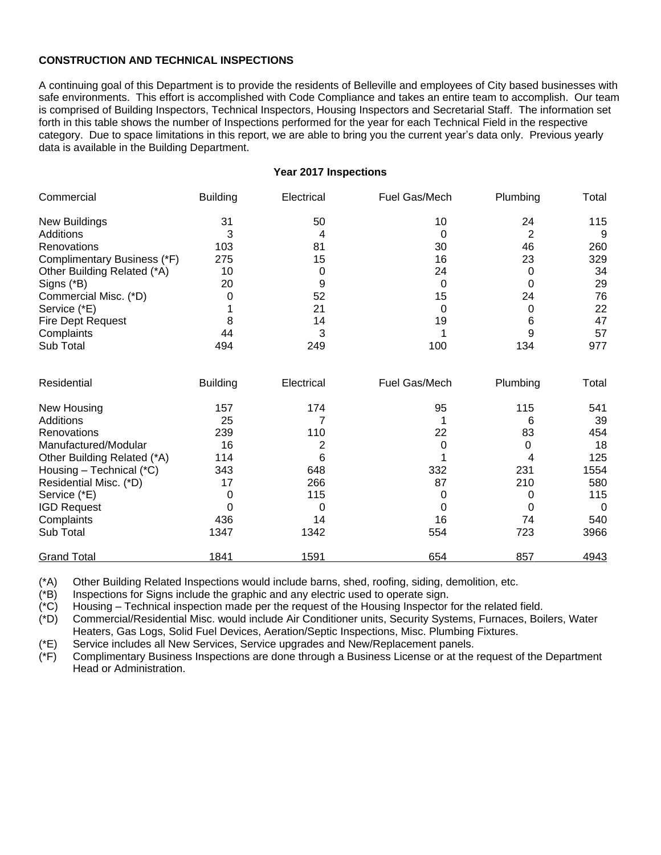## **CONSTRUCTION AND TECHNICAL INSPECTIONS**

A continuing goal of this Department is to provide the residents of Belleville and employees of City based businesses with safe environments. This effort is accomplished with Code Compliance and takes an entire team to accomplish. Our team is comprised of Building Inspectors, Technical Inspectors, Housing Inspectors and Secretarial Staff. The information set forth in this table shows the number of Inspections performed for the year for each Technical Field in the respective category. Due to space limitations in this report, we are able to bring you the current year's data only. Previous yearly data is available in the Building Department.

#### **Year 2017 Inspections**

| Commercial                  | <b>Building</b> | Electrical | Fuel Gas/Mech | Plumbing       | Total       |
|-----------------------------|-----------------|------------|---------------|----------------|-------------|
| <b>New Buildings</b>        | 31              | 50         | 10            | 24             | 115         |
| Additions                   | 3               | 4          | 0             | $\overline{2}$ | 9           |
| Renovations                 | 103             | 81         | 30            | 46             | 260         |
| Complimentary Business (*F) | 275             | 15         | 16            | 23             | 329         |
| Other Building Related (*A) | 10              | 0          | 24            | 0              | 34          |
| Signs (*B)                  | 20              | 9          | 0             | 0              | 29          |
| Commercial Misc. (*D)       | 0               | 52         | 15            | 24             | 76          |
| Service (*E)                |                 | 21         | 0             | 0              | 22          |
| <b>Fire Dept Request</b>    | 8               | 14         | 19            | 6              | 47          |
| Complaints                  | 44              | 3          |               | 9              | 57          |
| Sub Total                   | 494             | 249        | 100           | 134            | 977         |
| Residential                 | <b>Building</b> | Electrical | Fuel Gas/Mech | Plumbing       | Total       |
| New Housing                 | 157             | 174        | 95            | 115            | 541         |
| Additions                   | 25              | 7          |               | 6              | 39          |
| Renovations                 | 239             | 110        | 22            | 83             | 454         |
| Manufactured/Modular        | 16              | 2          | 0             | $\Omega$       | 18          |
| Other Building Related (*A) | 114             | 6          |               | 4              | 125         |
| Housing - Technical (*C)    | 343             | 648        | 332           | 231            | 1554        |
| Residential Misc. (*D)      | 17              | 266        | 87            | 210            | 580         |
| Service (*E)                | 0               | 115        | 0             | 0              | 115         |
| <b>IGD Request</b>          | 0               | 0          | 0             | 0              | $\mathbf 0$ |
| Complaints                  | 436             | 14         | 16            | 74             | 540         |
| Sub Total                   | 1347            | 1342       | 554           | 723            | 3966        |
| <b>Grand Total</b>          | 1841            | 1591       | 654           | 857            | 4943        |

(\*A) Other Building Related Inspections would include barns, shed, roofing, siding, demolition, etc.

(\*B) Inspections for Signs include the graphic and any electric used to operate sign.

(\*C) Housing – Technical inspection made per the request of the Housing Inspector for the related field.

(\*D) Commercial/Residential Misc. would include Air Conditioner units, Security Systems, Furnaces, Boilers, Water Heaters, Gas Logs, Solid Fuel Devices, Aeration/Septic Inspections, Misc. Plumbing Fixtures.

(\*E) Service includes all New Services, Service upgrades and New/Replacement panels.

(\*F) Complimentary Business Inspections are done through a Business License or at the request of the Department Head or Administration.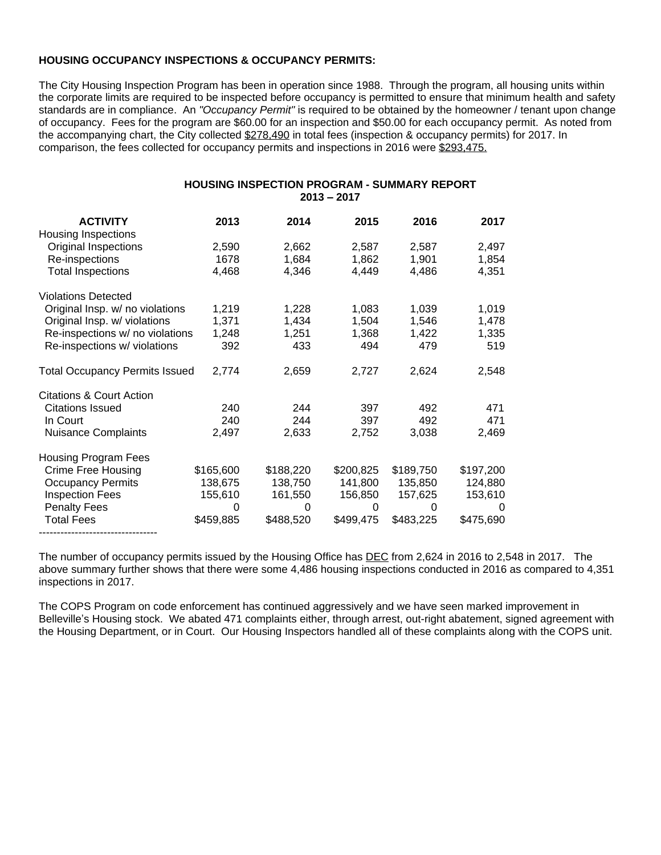#### **HOUSING OCCUPANCY INSPECTIONS & OCCUPANCY PERMITS:**

The City Housing Inspection Program has been in operation since 1988. Through the program, all housing units within the corporate limits are required to be inspected before occupancy is permitted to ensure that minimum health and safety standards are in compliance. An *"Occupancy Permit"* is required to be obtained by the homeowner / tenant upon change of occupancy. Fees for the program are \$60.00 for an inspection and \$50.00 for each occupancy permit. As noted from the accompanying chart, the City collected \$278,490 in total fees (inspection & occupancy permits) for 2017. In comparison, the fees collected for occupancy permits and inspections in 2016 were \$293,475.

## **HOUSING INSPECTION PROGRAM - SUMMARY REPORT 2013 – 2017**

| <b>ACTIVITY</b><br><b>Housing Inspections</b> | 2013      | 2014      | 2015      | 2016      | 2017      |
|-----------------------------------------------|-----------|-----------|-----------|-----------|-----------|
| Original Inspections                          | 2,590     | 2,662     | 2,587     | 2,587     | 2,497     |
| Re-inspections                                | 1678      | 1,684     | 1,862     | 1,901     | 1,854     |
| <b>Total Inspections</b>                      | 4,468     | 4,346     | 4,449     | 4,486     | 4,351     |
| <b>Violations Detected</b>                    |           |           |           |           |           |
| Original Insp. w/ no violations               | 1,219     | 1,228     | 1,083     | 1,039     | 1,019     |
| Original Insp. w/ violations                  | 1,371     | 1,434     | 1,504     | 1,546     | 1,478     |
| Re-inspections w/ no violations               | 1,248     | 1,251     | 1,368     | 1,422     | 1,335     |
| Re-inspections w/ violations                  | 392       | 433       | 494       | 479       | 519       |
| <b>Total Occupancy Permits Issued</b>         | 2,774     | 2,659     | 2,727     | 2,624     | 2,548     |
| Citations & Court Action                      |           |           |           |           |           |
| <b>Citations Issued</b>                       | 240       | 244       | 397       | 492       | 471       |
| In Court                                      | 240       | 244       | 397       | 492       | 471       |
| <b>Nuisance Complaints</b>                    | 2,497     | 2,633     | 2,752     | 3,038     | 2,469     |
| <b>Housing Program Fees</b>                   |           |           |           |           |           |
| <b>Crime Free Housing</b>                     | \$165,600 | \$188,220 | \$200,825 | \$189,750 | \$197,200 |
| <b>Occupancy Permits</b>                      | 138,675   | 138,750   | 141,800   | 135,850   | 124,880   |
| <b>Inspection Fees</b>                        | 155,610   | 161,550   | 156,850   | 157,625   | 153,610   |
| <b>Penalty Fees</b>                           | 0         | 0         | 0         | 0         | $\Omega$  |
| <b>Total Fees</b>                             | \$459,885 | \$488,520 | \$499,475 | \$483,225 | \$475,690 |
|                                               |           |           |           |           |           |

The number of occupancy permits issued by the Housing Office has **DEC** from 2,624 in 2016 to 2,548 in 2017. The above summary further shows that there were some 4,486 housing inspections conducted in 2016 as compared to 4,351 inspections in 2017.

The COPS Program on code enforcement has continued aggressively and we have seen marked improvement in Belleville's Housing stock. We abated 471 complaints either, through arrest, out-right abatement, signed agreement with the Housing Department, or in Court. Our Housing Inspectors handled all of these complaints along with the COPS unit.